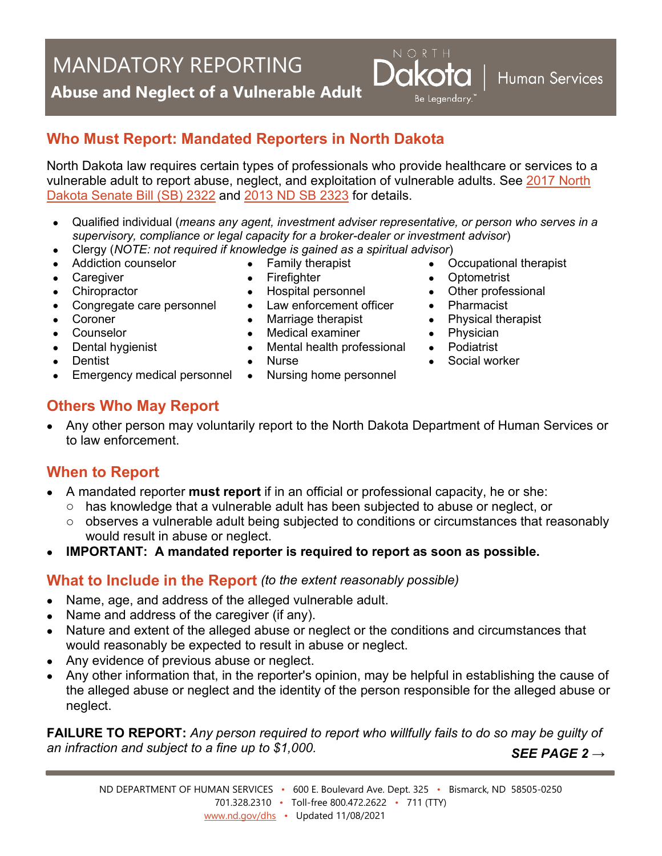# MANDATORY REPORTING

**Abuse and Neglect of a Vulnerable Adult**

## **Who Must Report: Mandated Reporters in North Dakota**

North Dakota law requires certain types of professionals who provide healthcare or services to a vulnerable adult to report abuse, neglect, and exploitation of vulnerable adults. See [2017 North](http://www.legis.nd.gov/assembly/65-2017/session-laws/documents/CORPS.pdf#CHAPTER80)  [Dakota Senate Bill \(SB\) 2322](http://www.legis.nd.gov/assembly/65-2017/session-laws/documents/CORPS.pdf#CHAPTER80) and [2013 ND SB 2323](http://www.legis.nd.gov/assembly/63-2013/documents/13-0803-05000.pdf?20130712093354) for details.

- Qualified individual (*means any agent, investment adviser representative, or person who serves in a supervisory, compliance or legal capacity for a broker-dealer or investment advisor*)
- Clergy (*NOTE: not required if knowledge is gained as a spiritual advisor*) • Family therapist
- Addiction counselor • Caregiver

• Chiropractor

• Coroner • Counselor

**Dentist** 

• Dental hygienist

- Firefighter
- Hospital personnel
	- Law enforcement officer
	- Marriage therapist
	- Medical examiner
	- Mental health professional
	- Nurse
- Emergency medical personnel Nursing home personnel

• Occupational therapist

**Human Services** 

• Optometrist

Be Legendary.

- Other professional
- Pharmacist
- Physical therapist
- Physician
- Podiatrist
- Social worker

## **Others Who May Report**

• Congregate care personnel

• Any other person may voluntarily report to the North Dakota Department of Human Services or to law enforcement.

## **When to Report**

- A mandated reporter **must report** if in an official or professional capacity, he or she:
	- o has knowledge that a vulnerable adult has been subjected to abuse or neglect, or observes a vulnerable adult being subjected to conditions or circumstances that re
	- observes a vulnerable adult being subjected to conditions or circumstances that reasonably would result in abuse or neglect.
- **IMPORTANT: A mandated reporter is required to report as soon as possible.**

#### **What to Include in the Report** *(to the extent reasonably possible)*

- Name, age, and address of the alleged vulnerable adult.
- Name and address of the caregiver (if any).
- Nature and extent of the alleged abuse or neglect or the conditions and circumstances that would reasonably be expected to result in abuse or neglect.
- Any evidence of previous abuse or neglect.
- Any other information that, in the reporter's opinion, may be helpful in establishing the cause of the alleged abuse or neglect and the identity of the person responsible for the alleged abuse or neglect.

**FAILURE TO REPORT:** *Any person required to report who willfully fails to do so may be guilty of an infraction and subject to a fine up to \$1,000. SEE PAGE 2 →*